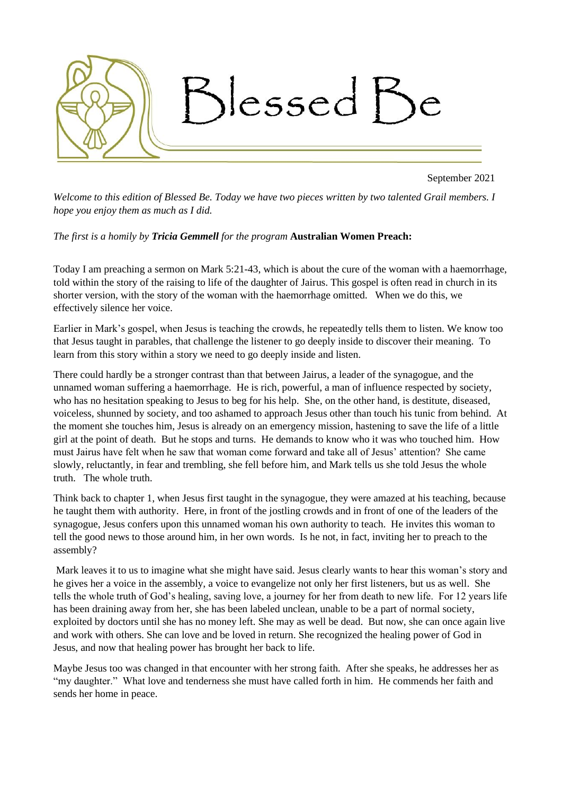

September 2021

*Welcome to this edition of Blessed Be. Today we have two pieces written by two talented Grail members. I hope you enjoy them as much as I did.*

*The first is a homily by Tricia Gemmell for the program* **Australian Women Preach:**

Today I am preaching a sermon on Mark 5:21-43, which is about the cure of the woman with a haemorrhage, told within the story of the raising to life of the daughter of Jairus. This gospel is often read in church in its shorter version, with the story of the woman with the haemorrhage omitted. When we do this, we effectively silence her voice.

Earlier in Mark's gospel, when Jesus is teaching the crowds, he repeatedly tells them to listen. We know too that Jesus taught in parables, that challenge the listener to go deeply inside to discover their meaning. To learn from this story within a story we need to go deeply inside and listen.

There could hardly be a stronger contrast than that between Jairus, a leader of the synagogue, and the unnamed woman suffering a haemorrhage. He is rich, powerful, a man of influence respected by society, who has no hesitation speaking to Jesus to beg for his help. She, on the other hand, is destitute, diseased, voiceless, shunned by society, and too ashamed to approach Jesus other than touch his tunic from behind. At the moment she touches him, Jesus is already on an emergency mission, hastening to save the life of a little girl at the point of death. But he stops and turns. He demands to know who it was who touched him. How must Jairus have felt when he saw that woman come forward and take all of Jesus' attention? She came slowly, reluctantly, in fear and trembling, she fell before him, and Mark tells us she told Jesus the whole truth. The whole truth.

Think back to chapter 1, when Jesus first taught in the synagogue, they were amazed at his teaching, because he taught them with authority. Here, in front of the jostling crowds and in front of one of the leaders of the synagogue, Jesus confers upon this unnamed woman his own authority to teach. He invites this woman to tell the good news to those around him, in her own words. Is he not, in fact, inviting her to preach to the assembly?

Mark leaves it to us to imagine what she might have said. Jesus clearly wants to hear this woman's story and he gives her a voice in the assembly, a voice to evangelize not only her first listeners, but us as well. She tells the whole truth of God's healing, saving love, a journey for her from death to new life. For 12 years life has been draining away from her, she has been labeled unclean, unable to be a part of normal society, exploited by doctors until she has no money left. She may as well be dead. But now, she can once again live and work with others. She can love and be loved in return. She recognized the healing power of God in Jesus, and now that healing power has brought her back to life.

Maybe Jesus too was changed in that encounter with her strong faith. After she speaks, he addresses her as "my daughter." What love and tenderness she must have called forth in him. He commends her faith and sends her home in peace.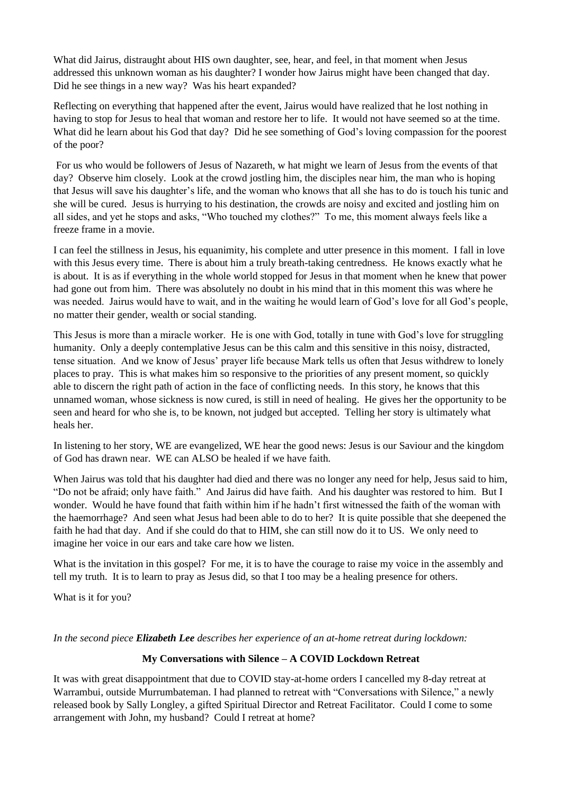What did Jairus, distraught about HIS own daughter, see, hear, and feel, in that moment when Jesus addressed this unknown woman as his daughter? I wonder how Jairus might have been changed that day. Did he see things in a new way? Was his heart expanded?

Reflecting on everything that happened after the event, Jairus would have realized that he lost nothing in having to stop for Jesus to heal that woman and restore her to life. It would not have seemed so at the time. What did he learn about his God that day? Did he see something of God's loving compassion for the poorest of the poor?

For us who would be followers of Jesus of Nazareth, w hat might we learn of Jesus from the events of that day? Observe him closely. Look at the crowd jostling him, the disciples near him, the man who is hoping that Jesus will save his daughter's life, and the woman who knows that all she has to do is touch his tunic and she will be cured. Jesus is hurrying to his destination, the crowds are noisy and excited and jostling him on all sides, and yet he stops and asks, "Who touched my clothes?" To me, this moment always feels like a freeze frame in a movie.

I can feel the stillness in Jesus, his equanimity, his complete and utter presence in this moment. I fall in love with this Jesus every time. There is about him a truly breath-taking centredness. He knows exactly what he is about. It is as if everything in the whole world stopped for Jesus in that moment when he knew that power had gone out from him. There was absolutely no doubt in his mind that in this moment this was where he was needed. Jairus would have to wait, and in the waiting he would learn of God's love for all God's people, no matter their gender, wealth or social standing.

This Jesus is more than a miracle worker. He is one with God, totally in tune with God's love for struggling humanity. Only a deeply contemplative Jesus can be this calm and this sensitive in this noisy, distracted, tense situation. And we know of Jesus' prayer life because Mark tells us often that Jesus withdrew to lonely places to pray. This is what makes him so responsive to the priorities of any present moment, so quickly able to discern the right path of action in the face of conflicting needs. In this story, he knows that this unnamed woman, whose sickness is now cured, is still in need of healing. He gives her the opportunity to be seen and heard for who she is, to be known, not judged but accepted. Telling her story is ultimately what heals her.

In listening to her story, WE are evangelized, WE hear the good news: Jesus is our Saviour and the kingdom of God has drawn near. WE can ALSO be healed if we have faith.

When Jairus was told that his daughter had died and there was no longer any need for help, Jesus said to him, "Do not be afraid; only have faith." And Jairus did have faith. And his daughter was restored to him. But I wonder. Would he have found that faith within him if he hadn't first witnessed the faith of the woman with the haemorrhage? And seen what Jesus had been able to do to her? It is quite possible that she deepened the faith he had that day. And if she could do that to HIM, she can still now do it to US. We only need to imagine her voice in our ears and take care how we listen.

What is the invitation in this gospel? For me, it is to have the courage to raise my voice in the assembly and tell my truth. It is to learn to pray as Jesus did, so that I too may be a healing presence for others.

What is it for you?

*In the second piece Elizabeth Lee describes her experience of an at-home retreat during lockdown:*

## **My Conversations with Silence – A COVID Lockdown Retreat**

It was with great disappointment that due to COVID stay-at-home orders I cancelled my 8-day retreat at Warrambui, outside Murrumbateman. I had planned to retreat with "Conversations with Silence," a newly released book by Sally Longley, a gifted Spiritual Director and Retreat Facilitator. Could I come to some arrangement with John, my husband? Could I retreat at home?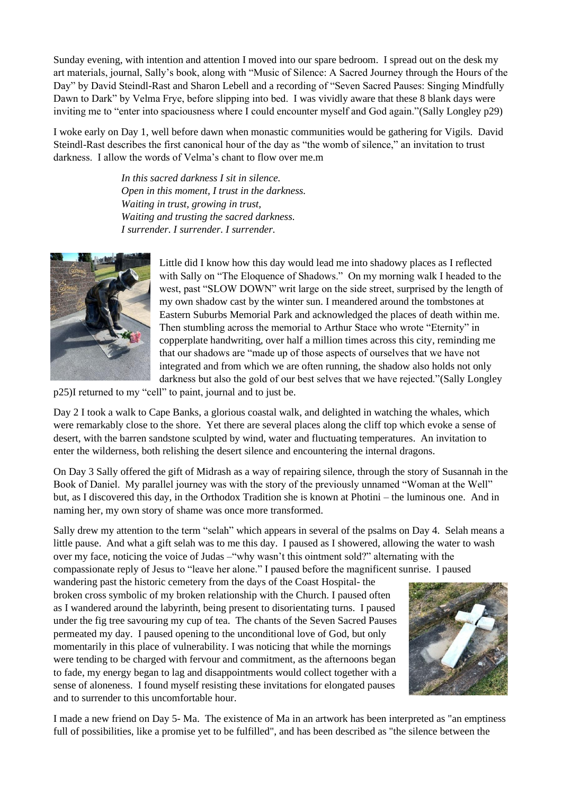Sunday evening, with intention and attention I moved into our spare bedroom. I spread out on the desk my art materials, journal, Sally's book, along with "Music of Silence: A Sacred Journey through the Hours of the Day" by David Steindl-Rast and Sharon Lebell and a recording of "Seven Sacred Pauses: Singing Mindfully Dawn to Dark" by Velma Frye, before slipping into bed. I was vividly aware that these 8 blank days were inviting me to "enter into spaciousness where I could encounter myself and God again."(Sally Longley p29)

I woke early on Day 1, well before dawn when monastic communities would be gathering for Vigils. David Steindl-Rast describes the first canonical hour of the day as "the womb of silence," an invitation to trust darkness. I allow the words of Velma's chant to flow over me.m

> *In this sacred darkness I sit in silence. Open in this moment, I trust in the darkness. Waiting in trust, growing in trust, Waiting and trusting the sacred darkness. I surrender. I surrender. I surrender.*



Little did I know how this day would lead me into shadowy places as I reflected with Sally on "The Eloquence of Shadows." On my morning walk I headed to the west, past "SLOW DOWN" writ large on the side street, surprised by the length of my own shadow cast by the winter sun. I meandered around the tombstones at Eastern Suburbs Memorial Park and acknowledged the places of death within me. Then stumbling across the memorial to Arthur Stace who wrote "Eternity" in copperplate handwriting, over half a million times across this city, reminding me that our shadows are "made up of those aspects of ourselves that we have not integrated and from which we are often running, the shadow also holds not only darkness but also the gold of our best selves that we have rejected."(Sally Longley

p25)I returned to my "cell" to paint, journal and to just be.

Day 2 I took a walk to Cape Banks, a glorious coastal walk, and delighted in watching the whales, which were remarkably close to the shore. Yet there are several places along the cliff top which evoke a sense of desert, with the barren sandstone sculpted by wind, water and fluctuating temperatures. An invitation to enter the wilderness, both relishing the desert silence and encountering the internal dragons.

On Day 3 Sally offered the gift of Midrash as a way of repairing silence, through the story of Susannah in the Book of Daniel. My parallel journey was with the story of the previously unnamed "Woman at the Well" but, as I discovered this day, in the Orthodox Tradition she is known at Photini – the luminous one. And in naming her, my own story of shame was once more transformed.

Sally drew my attention to the term "selah" which appears in several of the psalms on Day 4. Selah means a little pause. And what a gift selah was to me this day. I paused as I showered, allowing the water to wash over my face, noticing the voice of Judas –"why wasn't this ointment sold?" alternating with the compassionate reply of Jesus to "leave her alone." I paused before the magnificent sunrise. I paused

wandering past the historic cemetery from the days of the Coast Hospital- the broken cross symbolic of my broken relationship with the Church. I paused often as I wandered around the labyrinth, being present to disorientating turns. I paused under the fig tree savouring my cup of tea. The chants of the Seven Sacred Pauses permeated my day. I paused opening to the unconditional love of God, but only momentarily in this place of vulnerability. I was noticing that while the mornings were tending to be charged with fervour and commitment, as the afternoons began to fade, my energy began to lag and disappointments would collect together with a sense of aloneness. I found myself resisting these invitations for elongated pauses and to surrender to this uncomfortable hour.



I made a new friend on Day 5- Ma. The existence of Ma in an artwork has been interpreted as "an emptiness full of possibilities, like a promise yet to be fulfilled", and has been described as "the silence between the